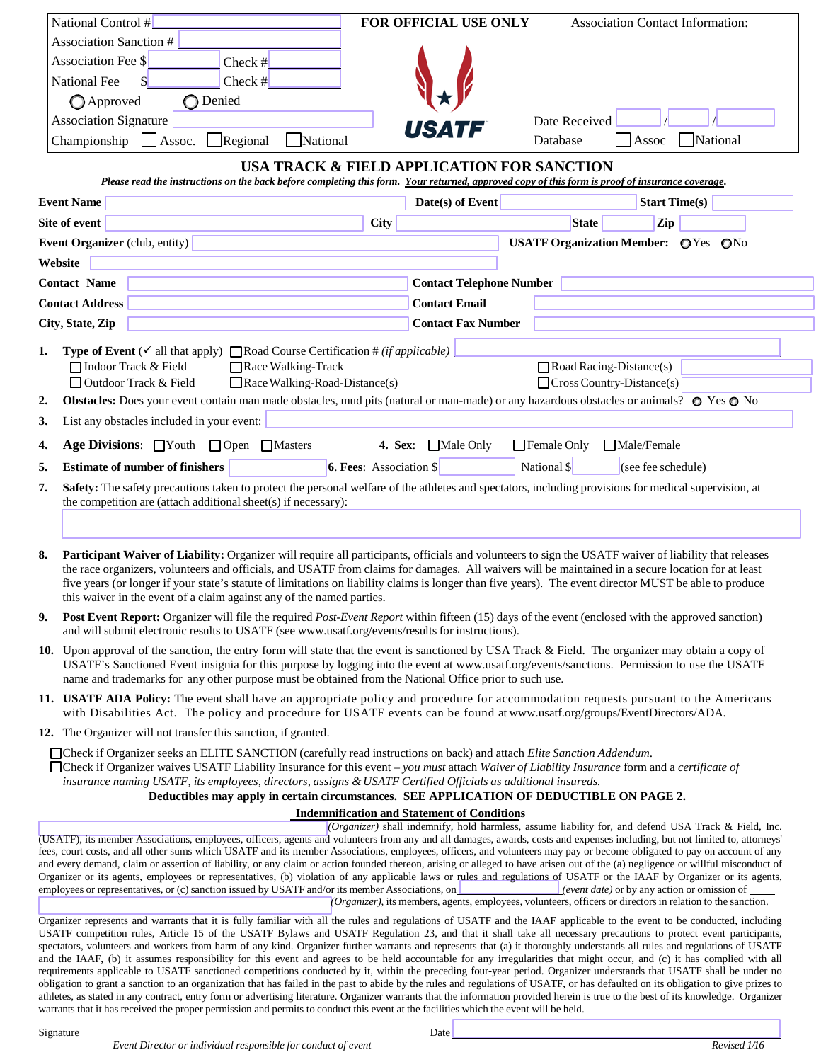|                                                                                                                                                                                                                                                                                                                                                        | National Control #                                                                                                                                                                                                                                                                                            | FOR OFFICIAL USE ONLY          | <b>Association Contact Information:</b>                                                                                                                             |
|--------------------------------------------------------------------------------------------------------------------------------------------------------------------------------------------------------------------------------------------------------------------------------------------------------------------------------------------------------|---------------------------------------------------------------------------------------------------------------------------------------------------------------------------------------------------------------------------------------------------------------------------------------------------------------|--------------------------------|---------------------------------------------------------------------------------------------------------------------------------------------------------------------|
|                                                                                                                                                                                                                                                                                                                                                        | <b>Association Sanction #</b>                                                                                                                                                                                                                                                                                 |                                |                                                                                                                                                                     |
|                                                                                                                                                                                                                                                                                                                                                        | Association Fee \$<br>Check $#$                                                                                                                                                                                                                                                                               |                                |                                                                                                                                                                     |
|                                                                                                                                                                                                                                                                                                                                                        | Check $#$<br>\$<br><b>National Fee</b>                                                                                                                                                                                                                                                                        |                                |                                                                                                                                                                     |
|                                                                                                                                                                                                                                                                                                                                                        | ◯ Denied<br><b>Approved</b>                                                                                                                                                                                                                                                                                   |                                |                                                                                                                                                                     |
|                                                                                                                                                                                                                                                                                                                                                        | <b>Association Signature</b>                                                                                                                                                                                                                                                                                  |                                | Date Received                                                                                                                                                       |
|                                                                                                                                                                                                                                                                                                                                                        | Regional<br>National<br>Championship<br>$\Box$ Assoc.                                                                                                                                                                                                                                                         |                                | National<br>Database<br>Assoc                                                                                                                                       |
|                                                                                                                                                                                                                                                                                                                                                        |                                                                                                                                                                                                                                                                                                               |                                |                                                                                                                                                                     |
| USA TRACK & FIELD APPLICATION FOR SANCTION<br>Please read the instructions on the back before completing this form. Your returned, approved copy of this form is proof of insurance coverage.                                                                                                                                                          |                                                                                                                                                                                                                                                                                                               |                                |                                                                                                                                                                     |
|                                                                                                                                                                                                                                                                                                                                                        | <b>Event Name</b>                                                                                                                                                                                                                                                                                             | Date(s) of Event               | <b>Start Time(s)</b>                                                                                                                                                |
|                                                                                                                                                                                                                                                                                                                                                        | Site of event                                                                                                                                                                                                                                                                                                 | <b>City</b>                    | Zip<br><b>State</b>                                                                                                                                                 |
|                                                                                                                                                                                                                                                                                                                                                        | Event Organizer (club, entity)                                                                                                                                                                                                                                                                                |                                | USATF Organization Member: OYes ONo                                                                                                                                 |
| Website                                                                                                                                                                                                                                                                                                                                                |                                                                                                                                                                                                                                                                                                               |                                |                                                                                                                                                                     |
| <b>Contact Telephone Number</b><br><b>Contact Name</b>                                                                                                                                                                                                                                                                                                 |                                                                                                                                                                                                                                                                                                               |                                |                                                                                                                                                                     |
|                                                                                                                                                                                                                                                                                                                                                        | <b>Contact Address</b>                                                                                                                                                                                                                                                                                        | <b>Contact Email</b>           |                                                                                                                                                                     |
|                                                                                                                                                                                                                                                                                                                                                        | City, State, Zip                                                                                                                                                                                                                                                                                              | <b>Contact Fax Number</b>      |                                                                                                                                                                     |
|                                                                                                                                                                                                                                                                                                                                                        |                                                                                                                                                                                                                                                                                                               |                                |                                                                                                                                                                     |
| 1.                                                                                                                                                                                                                                                                                                                                                     | <b>Type of Event</b> ( $\checkmark$ all that apply) <b>Noad Course Certification</b> # ( <i>if applicable</i> )<br>□ Indoor Track & Field<br>Race Walking-Track                                                                                                                                               |                                | $\Box$ Road Racing-Distance(s)                                                                                                                                      |
|                                                                                                                                                                                                                                                                                                                                                        | Race Walking-Road-Distance(s)<br>$\Box$ Outdoor Track & Field                                                                                                                                                                                                                                                 |                                | $\Box$ Cross Country-Distance(s)                                                                                                                                    |
| 2.                                                                                                                                                                                                                                                                                                                                                     | Obstacles: Does your event contain man made obstacles, mud pits (natural or man-made) or any hazardous obstacles or animals? $\circ$ Yes $\circ$ No                                                                                                                                                           |                                |                                                                                                                                                                     |
| 3.                                                                                                                                                                                                                                                                                                                                                     | List any obstacles included in your event:                                                                                                                                                                                                                                                                    |                                |                                                                                                                                                                     |
| 4.                                                                                                                                                                                                                                                                                                                                                     | Age Divisions: Nouth Open Masters<br>$\Box$ Male Only<br>$\Box$ Female Only<br><b>4. Sex:</b><br>Male/Female                                                                                                                                                                                                  |                                |                                                                                                                                                                     |
| 5.                                                                                                                                                                                                                                                                                                                                                     | <b>Estimate of number of finishers</b>                                                                                                                                                                                                                                                                        | <b>6. Fees:</b> Association \$ | National \$<br>(see fee schedule)                                                                                                                                   |
| 7.                                                                                                                                                                                                                                                                                                                                                     | Safety: The safety precautions taken to protect the personal welfare of the athletes and spectators, including provisions for medical supervision, at                                                                                                                                                         |                                |                                                                                                                                                                     |
|                                                                                                                                                                                                                                                                                                                                                        | the competition are (attach additional sheet(s) if necessary):                                                                                                                                                                                                                                                |                                |                                                                                                                                                                     |
|                                                                                                                                                                                                                                                                                                                                                        |                                                                                                                                                                                                                                                                                                               |                                |                                                                                                                                                                     |
| 8.                                                                                                                                                                                                                                                                                                                                                     | Participant Waiver of Liability: Organizer will require all participants, officials and volunteers to sign the USATF waiver of liability that releases                                                                                                                                                        |                                |                                                                                                                                                                     |
|                                                                                                                                                                                                                                                                                                                                                        | the race organizers, volunteers and officials, and USATF from claims for damages. All waivers will be maintained in a secure location for at least<br>five years (or longer if your state's statute of limitations on liability claims is longer than five years). The event director MUST be able to produce |                                |                                                                                                                                                                     |
|                                                                                                                                                                                                                                                                                                                                                        |                                                                                                                                                                                                                                                                                                               |                                |                                                                                                                                                                     |
|                                                                                                                                                                                                                                                                                                                                                        | this waiver in the event of a claim against any of the named parties.                                                                                                                                                                                                                                         |                                |                                                                                                                                                                     |
| 9.                                                                                                                                                                                                                                                                                                                                                     | <b>Post Event Report:</b> Organizer will file the required <i>Post-Event Report</i> within fifteen (15) days of the event (enclosed with the approved sanction)<br>and will submit electronic results to USATF (see www.usatf.org/events/results for instructions).                                           |                                |                                                                                                                                                                     |
|                                                                                                                                                                                                                                                                                                                                                        | 10. Upon approval of the sanction, the entry form will state that the event is sanctioned by USA Track & Field. The organizer may obtain a copy of                                                                                                                                                            |                                |                                                                                                                                                                     |
|                                                                                                                                                                                                                                                                                                                                                        | USATF's Sanctioned Event insignia for this purpose by logging into the event at www.usatf.org/events/sanctions. Permission to use the USATF<br>name and trademarks for any other purpose must be obtained from the National Office prior to such use.                                                         |                                |                                                                                                                                                                     |
|                                                                                                                                                                                                                                                                                                                                                        | 11. USATF ADA Policy: The event shall have an appropriate policy and procedure for accommodation requests pursuant to the Americans                                                                                                                                                                           |                                |                                                                                                                                                                     |
|                                                                                                                                                                                                                                                                                                                                                        | with Disabilities Act. The policy and procedure for USATF events can be found at www.usatf.org/groups/EventDirectors/ADA.<br>12. The Organizer will not transfer this sanction, if granted.                                                                                                                   |                                |                                                                                                                                                                     |
| □ Check if Organizer seeks an ELITE SANCTION (carefully read instructions on back) and attach Elite Sanction Addendum.                                                                                                                                                                                                                                 |                                                                                                                                                                                                                                                                                                               |                                |                                                                                                                                                                     |
| □ Check if Organizer waives USATF Liability Insurance for this event – you must attach Waiver of Liability Insurance form and a certificate of                                                                                                                                                                                                         |                                                                                                                                                                                                                                                                                                               |                                |                                                                                                                                                                     |
| insurance naming USATF, its employees, directors, assigns & USATF Certified Officials as additional insureds.                                                                                                                                                                                                                                          |                                                                                                                                                                                                                                                                                                               |                                |                                                                                                                                                                     |
| Deductibles may apply in certain circumstances. SEE APPLICATION OF DEDUCTIBLE ON PAGE 2.<br><b>Indemnification and Statement of Conditions</b>                                                                                                                                                                                                         |                                                                                                                                                                                                                                                                                                               |                                |                                                                                                                                                                     |
| (Organizer) shall indemnify, hold harmless, assume liability for, and defend USA Track & Field, Inc.                                                                                                                                                                                                                                                   |                                                                                                                                                                                                                                                                                                               |                                |                                                                                                                                                                     |
| (USATF), its member Associations, employees, officers, agents and volunteers from any and all damages, awards, costs and expenses including, but not limited to, attorneys'<br>fees, court costs, and all other sums which USATF and its member Associations, employees, officers, and volunteers may pay or become obligated to pay on account of any |                                                                                                                                                                                                                                                                                                               |                                |                                                                                                                                                                     |
| and every demand, claim or assertion of liability, or any claim or action founded thereon, arising or alleged to have arisen out of the (a) negligence or willful misconduct of                                                                                                                                                                        |                                                                                                                                                                                                                                                                                                               |                                |                                                                                                                                                                     |
| Organizer or its agents, employees or representatives, (b) violation of any applicable laws or rules and regulations of USATF or the IAAF by Organizer or its agents,<br>employees or representatives, or (c) sanction issued by USATF and/or its member Associations, on<br>$[$ (event date) or by any action or omission of                          |                                                                                                                                                                                                                                                                                                               |                                |                                                                                                                                                                     |
| (Organizer), its members, agents, employees, volunteers, officers or directors in relation to the sanction.                                                                                                                                                                                                                                            |                                                                                                                                                                                                                                                                                                               |                                |                                                                                                                                                                     |
| Organizer represents and warrants that it is fully familiar with all the rules and regulations of USATF and the IAAF applicable to the event to be conducted, including                                                                                                                                                                                |                                                                                                                                                                                                                                                                                                               |                                |                                                                                                                                                                     |
| USATF competition rules, Article 15 of the USATF Bylaws and USATF Regulation 23, and that it shall take all necessary precautions to protect event participants,<br>spectators, volunteers and workers from harm of any kind. Organizer further warrants and represents that (a) it thoroughly understands all rules and regulations of USATF          |                                                                                                                                                                                                                                                                                                               |                                |                                                                                                                                                                     |
|                                                                                                                                                                                                                                                                                                                                                        | and the IAAF, (b) it assumes responsibility for this event and agrees to be held accountable for any irregularities that might occur, and (c) it has complied with all                                                                                                                                        |                                | requirements applicable to USATF sanctioned competitions conducted by it, within the preceding four-year period. Organizer understands that USATF shall be under no |

obligation to grant a sanction to an organization that has failed in the past to abide by the rules and regulations of USATF, or has defaulted on its obligation to give prizes to athletes, as stated in any contract, entry form or advertising literature. Organizer warrants that the information provided herein is true to the best of its knowledge. Organizer

warrants that it has received the proper permission and permits to conduct this event at the facilities which the event will be held.